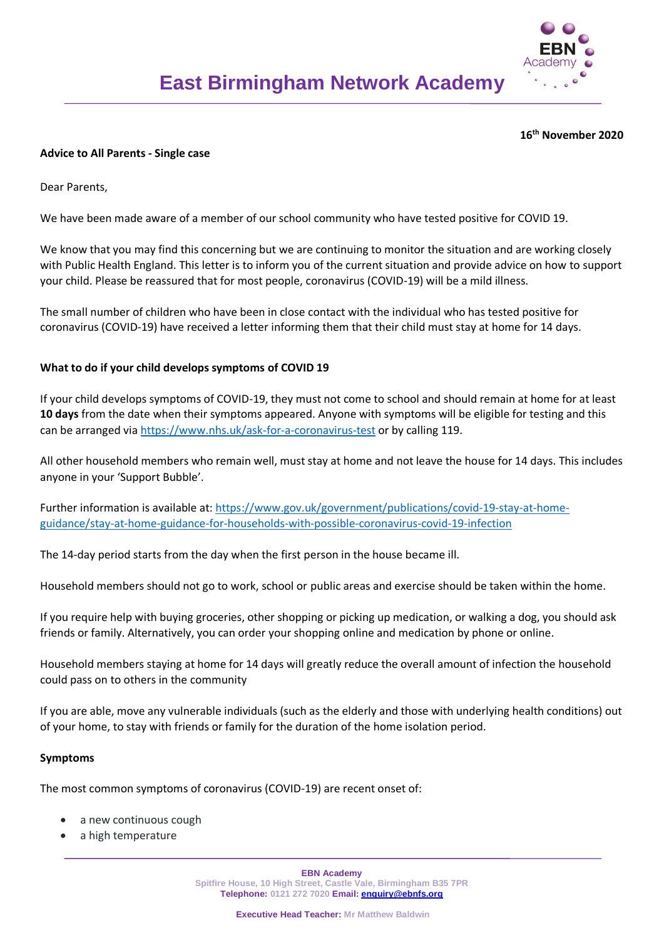

#### **16 th November 2020**

### **Advice to All Parents - Single case**

Dear Parents,

We have been made aware of a member of our school community who have tested positive for COVID 19.

We know that you may find this concerning but we are continuing to monitor the situation and are working closely with Public Health England. This letter is to inform you of the current situation and provide advice on how to support your child. Please be reassured that for most people, coronavirus (COVID-19) will be a mild illness.

The small number of children who have been in close contact with the individual who has tested positive for coronavirus (COVID-19) have received a letter informing them that their child must stay at home for 14 days.

## **What to do if your child develops symptoms of COVID 19**

If your child develops symptoms of COVID-19, they must not come to school and should remain at home for at least **10 days** from the date when their symptoms appeared. Anyone with symptoms will be eligible for testing and this can be arranged via<https://www.nhs.uk/ask-for-a-coronavirus-test> or by calling 119.

All other household members who remain well, must stay at home and not leave the house for 14 days. This includes anyone in your 'Support Bubble'.

Further information is available at: [https://www.gov.uk/government/publications/covid-19-stay-at-home](https://www.gov.uk/government/publications/covid-19-stay-at-home-guidance/stay-at-home-guidance-for-households-with-possible-coronavirus-covid-19-infection)[guidance/stay-at-home-guidance-for-households-with-possible-coronavirus-covid-19-infection](https://www.gov.uk/government/publications/covid-19-stay-at-home-guidance/stay-at-home-guidance-for-households-with-possible-coronavirus-covid-19-infection)

The 14-day period starts from the day when the first person in the house became ill.

Household members should not go to work, school or public areas and exercise should be taken within the home.

If you require help with buying groceries, other shopping or picking up medication, or walking a dog, you should ask friends or family. Alternatively, you can order your shopping online and medication by phone or online.

Household members staying at home for 14 days will greatly reduce the overall amount of infection the household could pass on to others in the community

If you are able, move any vulnerable individuals (such as the elderly and those with underlying health conditions) out of your home, to stay with friends or family for the duration of the home isolation period.

#### **Symptoms**

The most common symptoms of coronavirus (COVID-19) are recent onset of:

- a new continuous cough
- a high temperature

**EBN Academy Spitfire House, 10 High Street, Castle Vale, Birmingham B35 7PR Telephone: 0121 272 7020 Email: [enquiry@ebnfs.org](mailto:enquiry@ebnfs.org)**